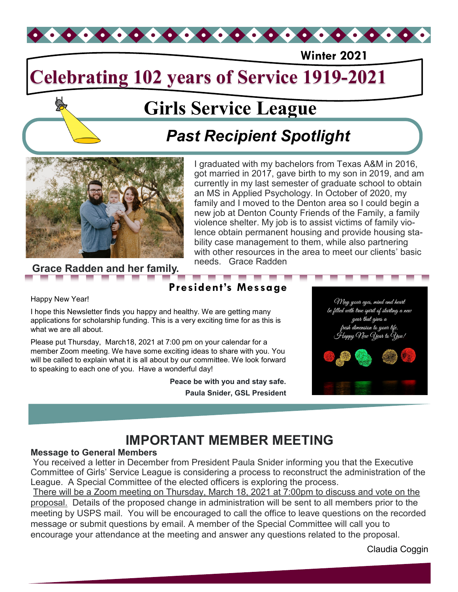

**Winter 2021**

# **Celebrating 102 years of Service 1919-2021**

# **Girls Service League**

# *Past Recipient Spotlight*



**Grace Radden and her family.** needs. Grace Radden

I graduated with my bachelors from Texas A&M in 2016, got married in 2017, gave birth to my son in 2019, and am currently in my last semester of graduate school to obtain an MS in Applied Psychology. In October of 2020, my family and I moved to the Denton area so I could begin a new job at Denton County Friends of the Family, a family violence shelter. My job is to assist victims of family violence obtain permanent housing and provide housing stability case management to them, while also partnering with other resources in the area to meet our clients' basic

### Happy New Year!

I hope this Newsletter finds you happy and healthy. We are getting many applications for scholarship funding. This is a very exciting time for as this is what we are all about.

Please put Thursday, March18, 2021 at 7:00 pm on your calendar for a member Zoom meeting. We have some exciting ideas to share with you. You will be called to explain what it is all about by our committee. We look forward to speaking to each one of you. Have a wonderful day!

> **Peace be with you and stay safe. Paula Snider, GSL President**

> **President's Message**



## **IMPORTANT MEMBER MEETING**

### **Message to General Members**

You received a letter in December from President Paula Snider informing you that the Executive Committee of Girls' Service League is considering a process to reconstruct the administration of the League. A Special Committee of the elected officers is exploring the process.

There will be a Zoom meeting on Thursday, March 18, 2021 at 7:00pm to discuss and vote on the proposal. Details of the proposed change in administration will be sent to all members prior to the meeting by USPS mail. You will be encouraged to call the office to leave questions on the recorded message or submit questions by email. A member of the Special Committee will call you to encourage your attendance at the meeting and answer any questions related to the proposal.

Claudia Coggin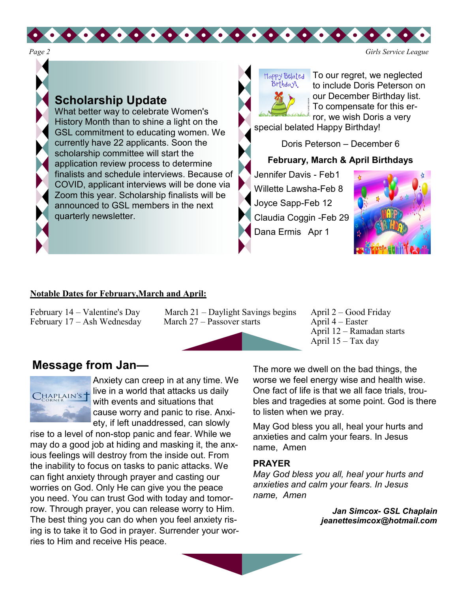

### **Scholarship Update**

What better way to celebrate Women's History Month than to shine a light on the GSL commitment to educating women. We currently have 22 applicants. Soon the scholarship committee will start the application review process to determine finalists and schedule interviews. Because of COVID, applicant interviews will be done via Zoom this year. Scholarship finalists will be announced to GSL members in the next quarterly newsletter.



To our regret, we neglected to include Doris Peterson on our December Birthday list. To compensate for this error, we wish Doris a very

special belated Happy Birthday!

Doris Peterson – December 6

### **February, March & April Birthdays**

Jennifer Davis - Feb1 Willette Lawsha-Feb 8 Joyce Sapp-Feb 12 Claudia Coggin -Feb 29 Dana Ermis Apr 1



### **Notable Dates for February,March and April:**

February  $17 - Ash$  Wednesday March  $27 -$  Passover starts April 4 – Easter

February 14 – Valentine's Day March 21 – Daylight Savings begins April 2 – Good Friday<br>February 17 – Ash Wednesday March 27 – Passover starts April 4 – Easter

 $0.00000000000000000000000$ 



 April 12 – Ramadan starts April 15 – Tax day

### **Message from Jan—**



Anxiety can creep in at any time. We live in a world that attacks us daily with events and situations that cause worry and panic to rise. Anxiety, if left unaddressed, can slowly

rise to a level of non-stop panic and fear. While we may do a good job at hiding and masking it, the anxious feelings will destroy from the inside out. From the inability to focus on tasks to panic attacks. We can fight anxiety through prayer and casting our worries on God. Only He can give you the peace you need. You can trust God with today and tomorrow. Through prayer, you can release worry to Him. The best thing you can do when you feel anxiety rising is to take it to God in prayer. Surrender your worries to Him and receive His peace.

The more we dwell on the bad things, the worse we feel energy wise and health wise. One fact of life is that we all face trials, troubles and tragedies at some point. God is there to listen when we pray.

May God bless you all, heal your hurts and anxieties and calm your fears. In Jesus name, Amen

### **PRAYER**

*May God bless you all, heal your hurts and anxieties and calm your fears. In Jesus name, Amen*

> *Jan Simcox- GSL Chaplain jeanettesimcox@hotmail.com*

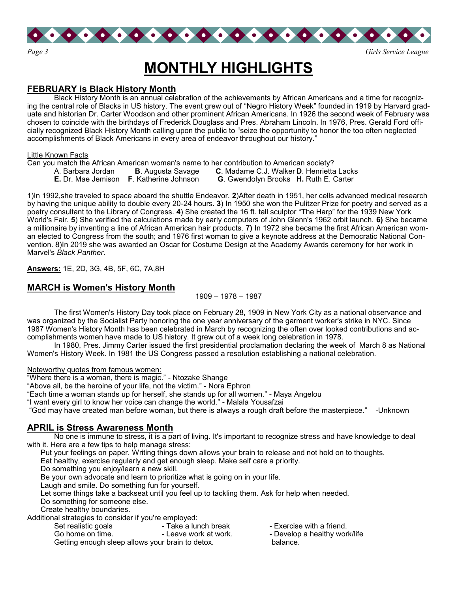

## **MONTHLY HIGHLIGHTS**

### **FEBRUARY is Black History Month**

Black History Month is an annual celebration of the achievements by African Americans and a time for recognizing the central role of Blacks in US history. The event grew out of "Negro History Week" founded in 1919 by Harvard graduate and historian Dr. Carter Woodson and other prominent African Americans. In 1926 the second week of February was chosen to coincide with the birthdays of Frederick Douglass and Pres. Abraham Lincoln. In 1976, Pres. Gerald Ford officially recognized Black History Month calling upon the public to "seize the opportunity to honor the too often neglected accomplishments of Black Americans in every area of endeavor throughout our history."

#### Little Known Facts

Can you match the African American woman's name to her contribution to American society?

- A. Barbara Jordan **B**. Augusta Savage **C**. Madame C.J. Walker **D**. Henrietta Lacks
- **E.** Dr. Mae Jemison **F**. Katherine Johnson **G**. Gwendolyn Brooks **H.** Ruth E. Carter

1)In 1992,she traveled to space aboard the shuttle Endeavor. **2**)After death in 1951, her cells advanced medical research by having the unique ability to double every 20-24 hours. **3**) In 1950 she won the Pulitzer Prize for poetry and served as a poetry consultant to the Library of Congress. **4**) She created the 16 ft. tall sculptor "The Harp" for the 1939 New York World's Fair. **5**) She verified the calculations made by early computers of John Glenn's 1962 orbit launch. **6)** She became a millionaire by inventing a line of African American hair products. **7)** In 1972 she became the first African American woman elected to Congress from the south; and 1976 first woman to give a keynote address at the Democratic National Convention. 8)In 2019 she was awarded an Oscar for Costume Design at the Academy Awards ceremony for her work in Marvel's *Black Panther*.

**Answers:** 1E, 2D, 3G, 4B, 5F, 6C, 7A,8H

### **MARCH is Women's History Month**

1909 – 1978 – 1987

The first Women's History Day took place on February 28, 1909 in New York City as a national observance and was organized by the Socialist Party honoring the one year anniversary of the garment worker's strike in NYC. Since 1987 Women's History Month has been celebrated in March by recognizing the often over looked contributions and accomplishments women have made to US history. It grew out of a week long celebration in 1978.

In 1980, Pres. Jimmy Carter issued the first presidential proclamation declaring the week of March 8 as National Women's History Week. In 1981 the US Congress passed a resolution establishing a national celebration.

Noteworthy quotes from famous women:

"Where there is a woman, there is magic." - Ntozake Shange

"Above all, be the heroine of your life, not the victim." - Nora Ephron

"Each time a woman stands up for herself, she stands up for all women." - Maya Angelou

"I want every girl to know her voice can change the world." - Malala Yousafzai

"God may have created man before woman, but there is always a rough draft before the masterpiece." -Unknown

### **APRIL is Stress Awareness Month**

No one is immune to stress, it is a part of living. It's important to recognize stress and have knowledge to deal with it. Here are a few tips to help manage stress:

Put your feelings on paper. Writing things down allows your brain to release and not hold on to thoughts.

Eat healthy, exercise regularly and get enough sleep. Make self care a priority.

Do something you enjoy/learn a new skill.

Be your own advocate and learn to prioritize what is going on in your life.

Laugh and smile. Do something fun for yourself.

Let some things take a backseat until you feel up to tackling them. Ask for help when needed.

Do something for someone else.

Create healthy boundaries.

Additional strategies to consider if you're employed:

Set realistic goals Take a lunch break - Exercise with a friend.<br>
Go home on time.<br>
Go home on time.<br>
Serve work at work.<br>
A Develop a healthy work - Develop a healthy work/life Getting enough sleep allows your brain to detox. balance.